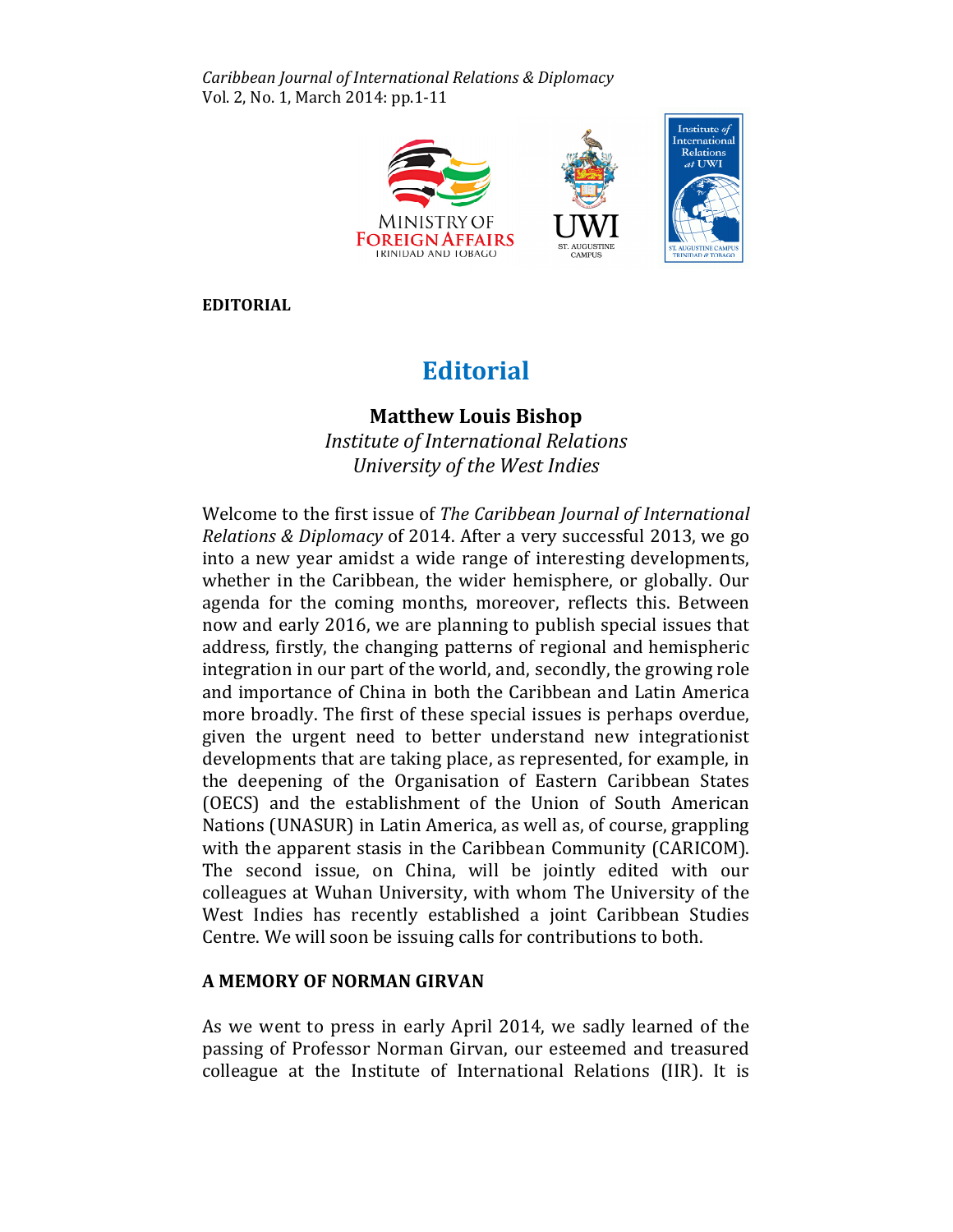Caribbean Journal of International Relations & Diplomacy Vol. 2, No. 1, March 2014: pp.1-11



EDITORIAL

# **Editorial**

# Matthew Louis Bishop

Institute of International Relations University of the West Indies

Welcome to the first issue of The Caribbean Journal of International Relations & Diplomacy of 2014. After a very successful 2013, we go into a new year amidst a wide range of interesting developments, whether in the Caribbean, the wider hemisphere, or globally. Our agenda for the coming months, moreover, reflects this. Between now and early 2016, we are planning to publish special issues that address, firstly, the changing patterns of regional and hemispheric integration in our part of the world, and, secondly, the growing role and importance of China in both the Caribbean and Latin America more broadly. The first of these special issues is perhaps overdue, given the urgent need to better understand new integrationist developments that are taking place, as represented, for example, in the deepening of the Organisation of Eastern Caribbean States (OECS) and the establishment of the Union of South American Nations (UNASUR) in Latin America, as well as, of course, grappling with the apparent stasis in the Caribbean Community (CARICOM). The second issue, on China, will be jointly edited with our colleagues at Wuhan University, with whom The University of the West Indies has recently established a joint Caribbean Studies Centre. We will soon be issuing calls for contributions to both.

## A MEMORY OF NORMAN GIRVAN

As we went to press in early April 2014, we sadly learned of the passing of Professor Norman Girvan, our esteemed and treasured colleague at the Institute of International Relations (IIR). It is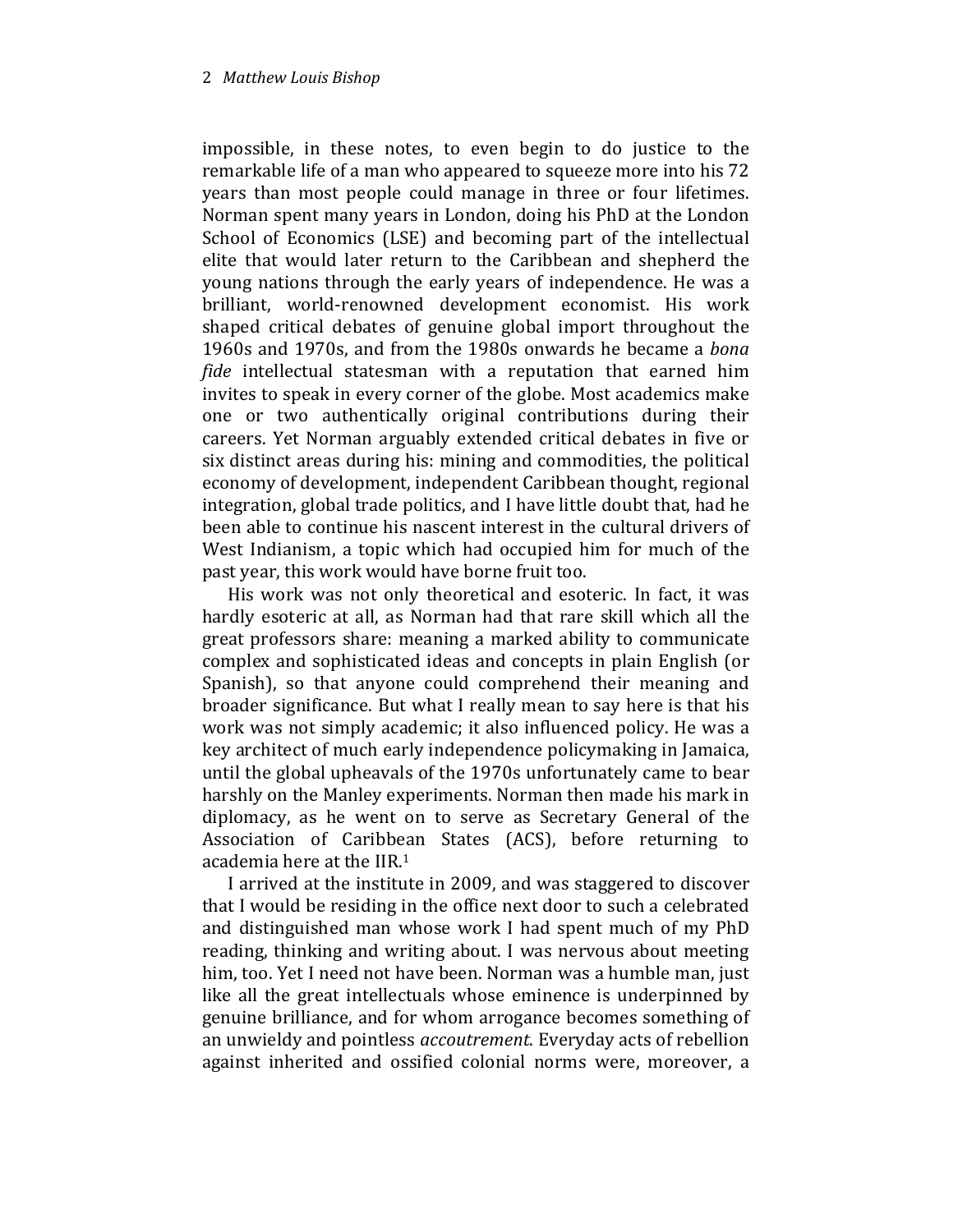impossible, in these notes, to even begin to do justice to the remarkable life of a man who appeared to squeeze more into his 72 years than most people could manage in three or four lifetimes. Norman spent many years in London, doing his PhD at the London School of Economics (LSE) and becoming part of the intellectual elite that would later return to the Caribbean and shepherd the young nations through the early years of independence. He was a brilliant, world-renowned development economist. His work shaped critical debates of genuine global import throughout the 1960s and 1970s, and from the 1980s onwards he became a bona fide intellectual statesman with a reputation that earned him invites to speak in every corner of the globe. Most academics make one or two authentically original contributions during their careers. Yet Norman arguably extended critical debates in five or six distinct areas during his: mining and commodities, the political economy of development, independent Caribbean thought, regional integration, global trade politics, and I have little doubt that, had he been able to continue his nascent interest in the cultural drivers of West Indianism, a topic which had occupied him for much of the past year, this work would have borne fruit too.

His work was not only theoretical and esoteric. In fact, it was hardly esoteric at all, as Norman had that rare skill which all the great professors share: meaning a marked ability to communicate complex and sophisticated ideas and concepts in plain English (or Spanish), so that anyone could comprehend their meaning and broader significance. But what I really mean to say here is that his work was not simply academic; it also influenced policy. He was a key architect of much early independence policymaking in Jamaica, until the global upheavals of the 1970s unfortunately came to bear harshly on the Manley experiments. Norman then made his mark in diplomacy, as he went on to serve as Secretary General of the Association of Caribbean States (ACS), before returning to academia here at the IIR.<sup>1</sup>

I arrived at the institute in 2009, and was staggered to discover that I would be residing in the office next door to such a celebrated and distinguished man whose work I had spent much of my PhD reading, thinking and writing about. I was nervous about meeting him, too. Yet I need not have been. Norman was a humble man, just like all the great intellectuals whose eminence is underpinned by genuine brilliance, and for whom arrogance becomes something of an unwieldy and pointless accoutrement. Everyday acts of rebellion against inherited and ossified colonial norms were, moreover, a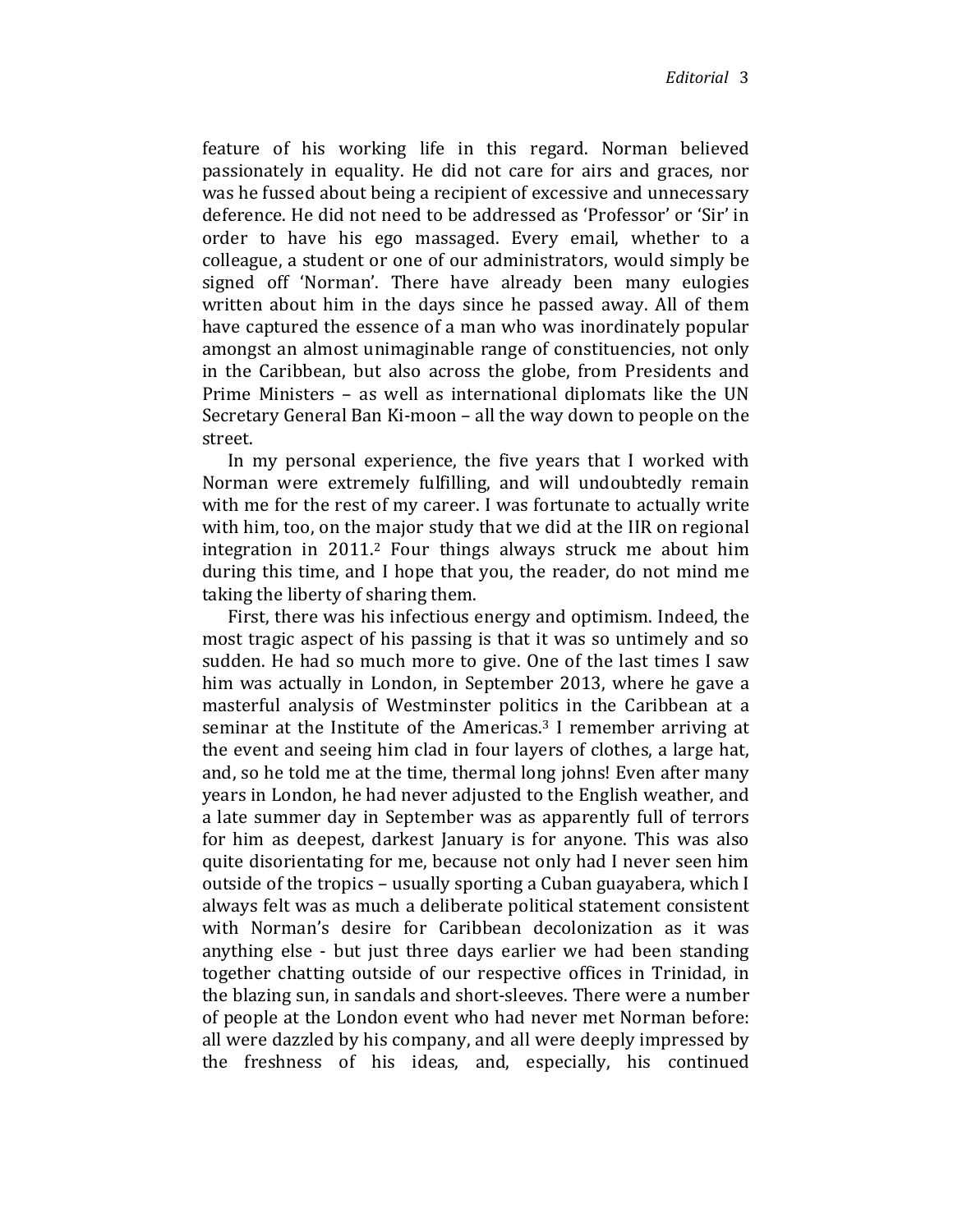feature of his working life in this regard. Norman believed passionately in equality. He did not care for airs and graces, nor was he fussed about being a recipient of excessive and unnecessary deference. He did not need to be addressed as 'Professor' or 'Sir' in order to have his ego massaged. Every email, whether to a colleague, a student or one of our administrators, would simply be signed off 'Norman'. There have already been many eulogies written about him in the days since he passed away. All of them have captured the essence of a man who was inordinately popular amongst an almost unimaginable range of constituencies, not only in the Caribbean, but also across the globe, from Presidents and Prime Ministers – as well as international diplomats like the UN Secretary General Ban Ki-moon – all the way down to people on the street.

In my personal experience, the five years that I worked with Norman were extremely fulfilling, and will undoubtedly remain with me for the rest of my career. I was fortunate to actually write with him, too, on the major study that we did at the IIR on regional integration in 2011.2 Four things always struck me about him during this time, and I hope that you, the reader, do not mind me taking the liberty of sharing them.

First, there was his infectious energy and optimism. Indeed, the most tragic aspect of his passing is that it was so untimely and so sudden. He had so much more to give. One of the last times I saw him was actually in London, in September 2013, where he gave a masterful analysis of Westminster politics in the Caribbean at a seminar at the Institute of the Americas.<sup>3</sup> I remember arriving at the event and seeing him clad in four layers of clothes, a large hat, and, so he told me at the time, thermal long johns! Even after many years in London, he had never adjusted to the English weather, and a late summer day in September was as apparently full of terrors for him as deepest, darkest January is for anyone. This was also quite disorientating for me, because not only had I never seen him outside of the tropics – usually sporting a Cuban guayabera, which I always felt was as much a deliberate political statement consistent with Norman's desire for Caribbean decolonization as it was anything else - but just three days earlier we had been standing together chatting outside of our respective offices in Trinidad, in the blazing sun, in sandals and short-sleeves. There were a number of people at the London event who had never met Norman before: all were dazzled by his company, and all were deeply impressed by the freshness of his ideas, and, especially, his continued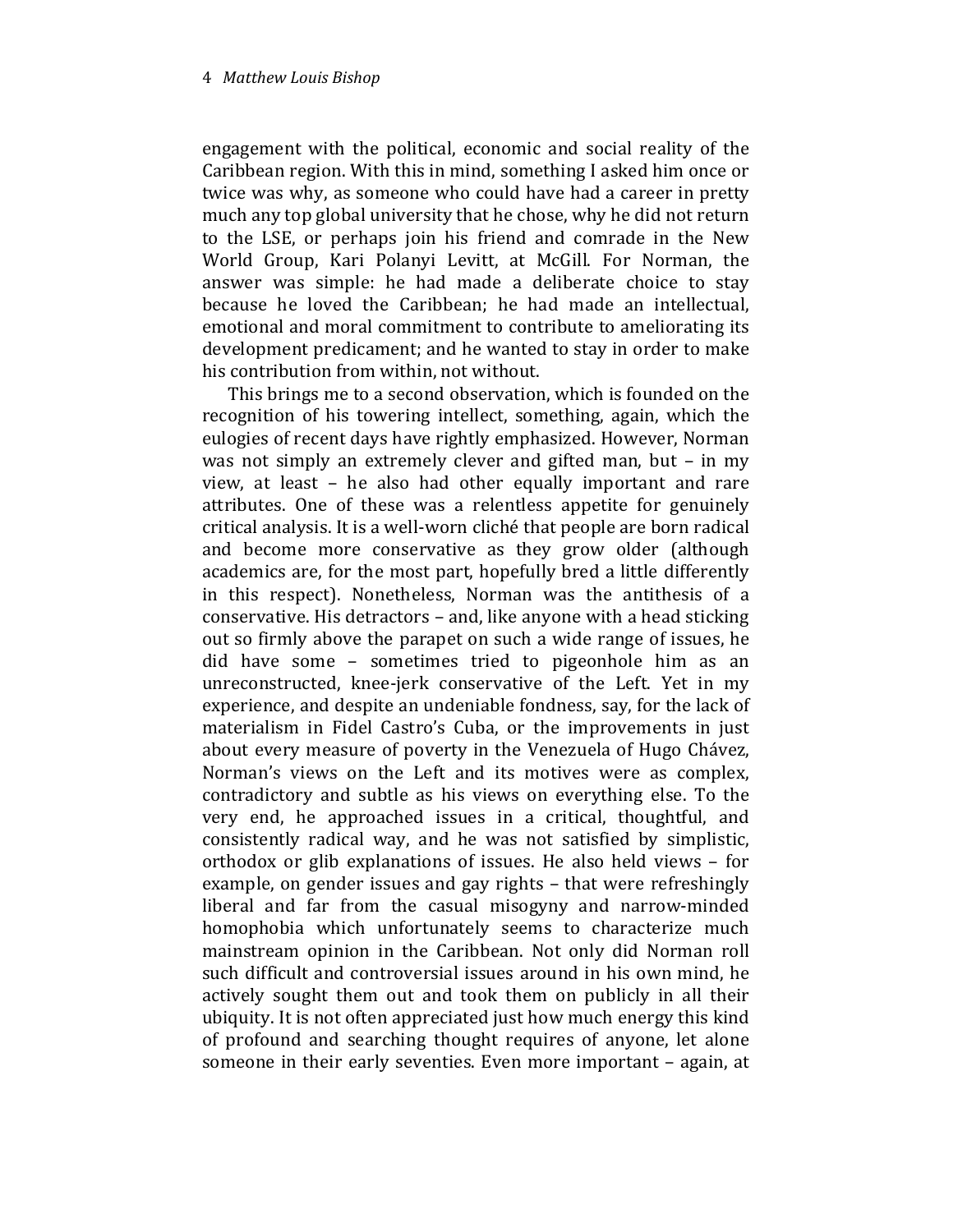engagement with the political, economic and social reality of the Caribbean region. With this in mind, something I asked him once or twice was why, as someone who could have had a career in pretty much any top global university that he chose, why he did not return to the LSE, or perhaps join his friend and comrade in the New World Group, Kari Polanyi Levitt, at McGill. For Norman, the answer was simple: he had made a deliberate choice to stay because he loved the Caribbean; he had made an intellectual, emotional and moral commitment to contribute to ameliorating its development predicament; and he wanted to stay in order to make his contribution from within, not without.

This brings me to a second observation, which is founded on the recognition of his towering intellect, something, again, which the eulogies of recent days have rightly emphasized. However, Norman was not simply an extremely clever and gifted man, but – in my view, at least – he also had other equally important and rare attributes. One of these was a relentless appetite for genuinely critical analysis. It is a well-worn cliché that people are born radical and become more conservative as they grow older (although academics are, for the most part, hopefully bred a little differently in this respect). Nonetheless, Norman was the antithesis of a conservative. His detractors – and, like anyone with a head sticking out so firmly above the parapet on such a wide range of issues, he did have some – sometimes tried to pigeonhole him as an unreconstructed, knee-jerk conservative of the Left. Yet in my experience, and despite an undeniable fondness, say, for the lack of materialism in Fidel Castro's Cuba, or the improvements in just about every measure of poverty in the Venezuela of Hugo Chávez, Norman's views on the Left and its motives were as complex, contradictory and subtle as his views on everything else. To the very end, he approached issues in a critical, thoughtful, and consistently radical way, and he was not satisfied by simplistic, orthodox or glib explanations of issues. He also held views – for example, on gender issues and gay rights – that were refreshingly liberal and far from the casual misogyny and narrow-minded homophobia which unfortunately seems to characterize much mainstream opinion in the Caribbean. Not only did Norman roll such difficult and controversial issues around in his own mind, he actively sought them out and took them on publicly in all their ubiquity. It is not often appreciated just how much energy this kind of profound and searching thought requires of anyone, let alone someone in their early seventies. Even more important – again, at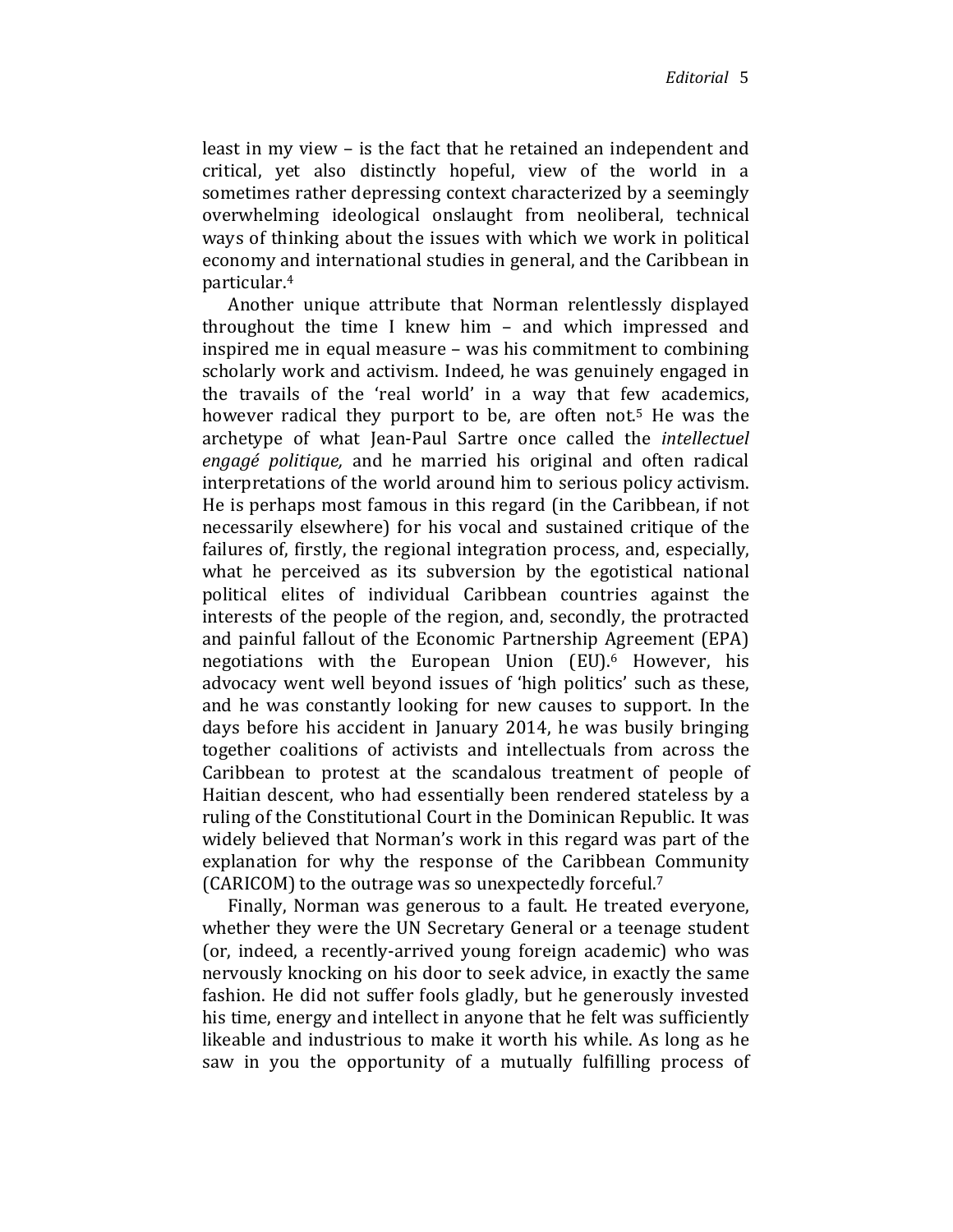least in my view – is the fact that he retained an independent and critical, yet also distinctly hopeful, view of the world in a sometimes rather depressing context characterized by a seemingly overwhelming ideological onslaught from neoliberal, technical ways of thinking about the issues with which we work in political economy and international studies in general, and the Caribbean in particular.<sup>4</sup>

Another unique attribute that Norman relentlessly displayed throughout the time I knew him – and which impressed and inspired me in equal measure – was his commitment to combining scholarly work and activism. Indeed, he was genuinely engaged in the travails of the 'real world' in a way that few academics, however radical they purport to be, are often not.<sup>5</sup> He was the archetype of what Jean-Paul Sartre once called the intellectuel engagé politique, and he married his original and often radical interpretations of the world around him to serious policy activism. He is perhaps most famous in this regard (in the Caribbean, if not necessarily elsewhere) for his vocal and sustained critique of the failures of, firstly, the regional integration process, and, especially, what he perceived as its subversion by the egotistical national political elites of individual Caribbean countries against the interests of the people of the region, and, secondly, the protracted and painful fallout of the Economic Partnership Agreement (EPA) negotiations with the European Union (EU).<sup>6</sup> However, his advocacy went well beyond issues of 'high politics' such as these, and he was constantly looking for new causes to support. In the days before his accident in January 2014, he was busily bringing together coalitions of activists and intellectuals from across the Caribbean to protest at the scandalous treatment of people of Haitian descent, who had essentially been rendered stateless by a ruling of the Constitutional Court in the Dominican Republic. It was widely believed that Norman's work in this regard was part of the explanation for why the response of the Caribbean Community (CARICOM) to the outrage was so unexpectedly forceful.<sup>7</sup>

Finally, Norman was generous to a fault. He treated everyone, whether they were the UN Secretary General or a teenage student (or, indeed, a recently-arrived young foreign academic) who was nervously knocking on his door to seek advice, in exactly the same fashion. He did not suffer fools gladly, but he generously invested his time, energy and intellect in anyone that he felt was sufficiently likeable and industrious to make it worth his while. As long as he saw in you the opportunity of a mutually fulfilling process of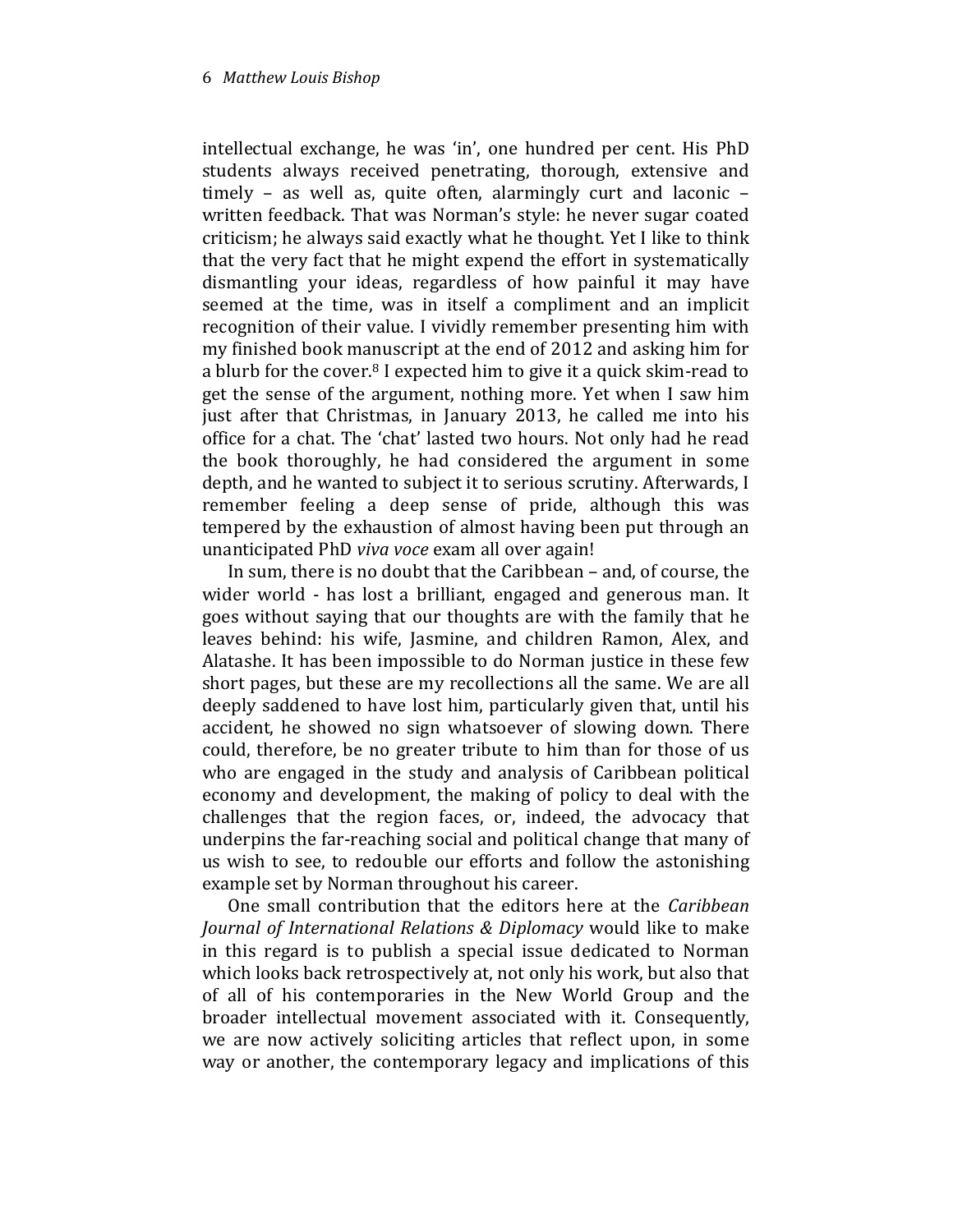intellectual exchange, he was 'in', one hundred per cent. His PhD students always received penetrating, thorough, extensive and timely – as well as, quite often, alarmingly curt and laconic – written feedback. That was Norman's style: he never sugar coated criticism; he always said exactly what he thought. Yet I like to think that the very fact that he might expend the effort in systematically dismantling your ideas, regardless of how painful it may have seemed at the time, was in itself a compliment and an implicit recognition of their value. I vividly remember presenting him with my finished book manuscript at the end of 2012 and asking him for a blurb for the cover.8 I expected him to give it a quick skim-read to get the sense of the argument, nothing more. Yet when I saw him just after that Christmas, in January 2013, he called me into his office for a chat. The 'chat' lasted two hours. Not only had he read the book thoroughly, he had considered the argument in some depth, and he wanted to subject it to serious scrutiny. Afterwards, I remember feeling a deep sense of pride, although this was tempered by the exhaustion of almost having been put through an unanticipated PhD viva voce exam all over again!

In sum, there is no doubt that the Caribbean – and, of course, the wider world - has lost a brilliant, engaged and generous man. It goes without saying that our thoughts are with the family that he leaves behind: his wife, Jasmine, and children Ramon, Alex, and Alatashe. It has been impossible to do Norman justice in these few short pages, but these are my recollections all the same. We are all deeply saddened to have lost him, particularly given that, until his accident, he showed no sign whatsoever of slowing down. There could, therefore, be no greater tribute to him than for those of us who are engaged in the study and analysis of Caribbean political economy and development, the making of policy to deal with the challenges that the region faces, or, indeed, the advocacy that underpins the far-reaching social and political change that many of us wish to see, to redouble our efforts and follow the astonishing example set by Norman throughout his career.

One small contribution that the editors here at the Caribbean Journal of International Relations & Diplomacy would like to make in this regard is to publish a special issue dedicated to Norman which looks back retrospectively at, not only his work, but also that of all of his contemporaries in the New World Group and the broader intellectual movement associated with it. Consequently, we are now actively soliciting articles that reflect upon, in some way or another, the contemporary legacy and implications of this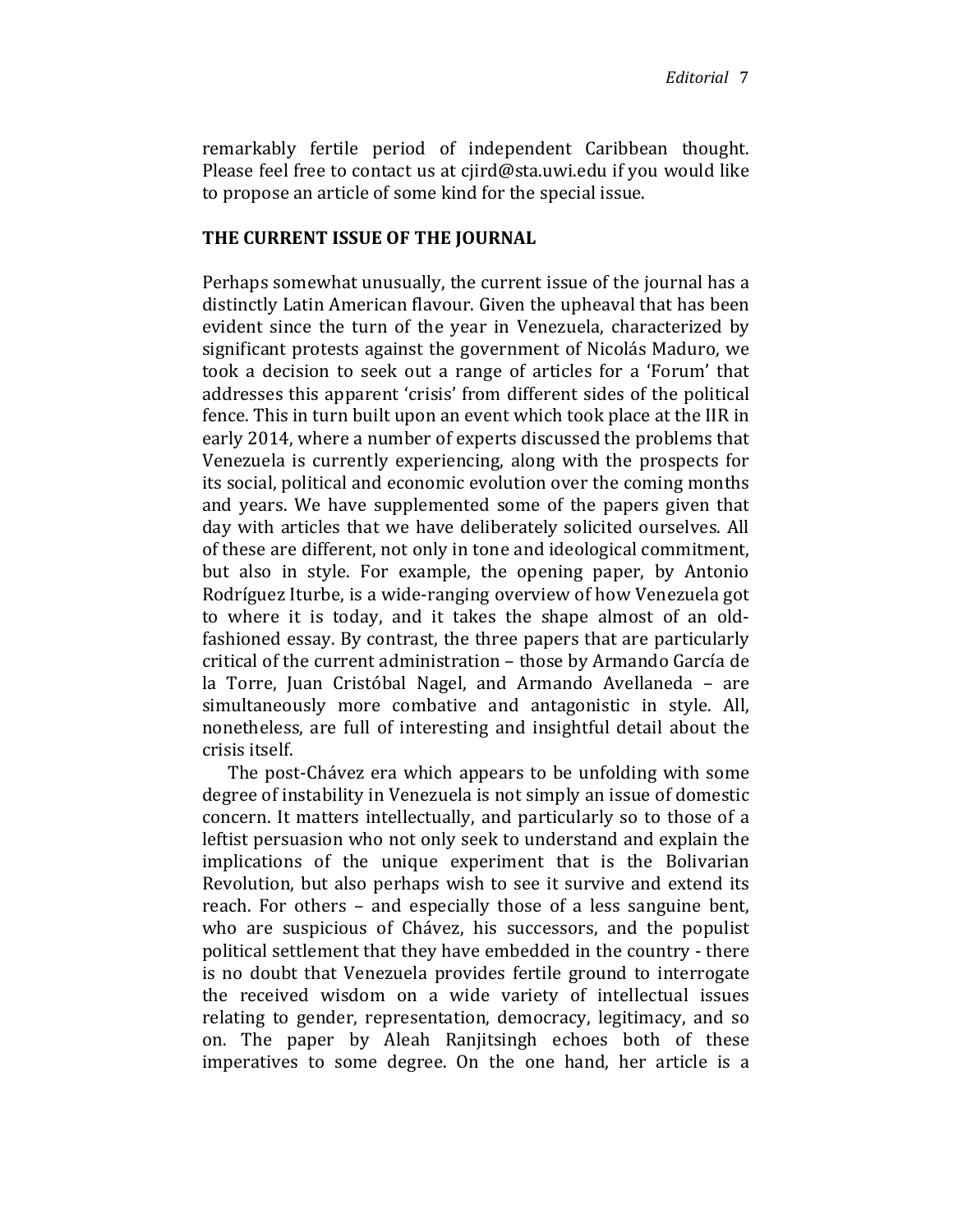remarkably fertile period of independent Caribbean thought. Please feel free to contact us at cjird@sta.uwi.edu if you would like to propose an article of some kind for the special issue.

### THE CURRENT ISSUE OF THE JOURNAL

Perhaps somewhat unusually, the current issue of the journal has a distinctly Latin American flavour. Given the upheaval that has been evident since the turn of the year in Venezuela, characterized by significant protests against the government of Nicolás Maduro, we took a decision to seek out a range of articles for a 'Forum' that addresses this apparent 'crisis' from different sides of the political fence. This in turn built upon an event which took place at the IIR in early 2014, where a number of experts discussed the problems that Venezuela is currently experiencing, along with the prospects for its social, political and economic evolution over the coming months and years. We have supplemented some of the papers given that day with articles that we have deliberately solicited ourselves. All of these are different, not only in tone and ideological commitment, but also in style. For example, the opening paper, by Antonio Rodríguez Iturbe, is a wide-ranging overview of how Venezuela got to where it is today, and it takes the shape almost of an oldfashioned essay. By contrast, the three papers that are particularly critical of the current administration – those by Armando García de la Torre, Juan Cristóbal Nagel, and Armando Avellaneda – are simultaneously more combative and antagonistic in style. All, nonetheless, are full of interesting and insightful detail about the crisis itself.

The post-Chávez era which appears to be unfolding with some degree of instability in Venezuela is not simply an issue of domestic concern. It matters intellectually, and particularly so to those of a leftist persuasion who not only seek to understand and explain the implications of the unique experiment that is the Bolivarian Revolution, but also perhaps wish to see it survive and extend its reach. For others – and especially those of a less sanguine bent, who are suspicious of Chávez, his successors, and the populist political settlement that they have embedded in the country - there is no doubt that Venezuela provides fertile ground to interrogate the received wisdom on a wide variety of intellectual issues relating to gender, representation, democracy, legitimacy, and so on. The paper by Aleah Ranjitsingh echoes both of these imperatives to some degree. On the one hand, her article is a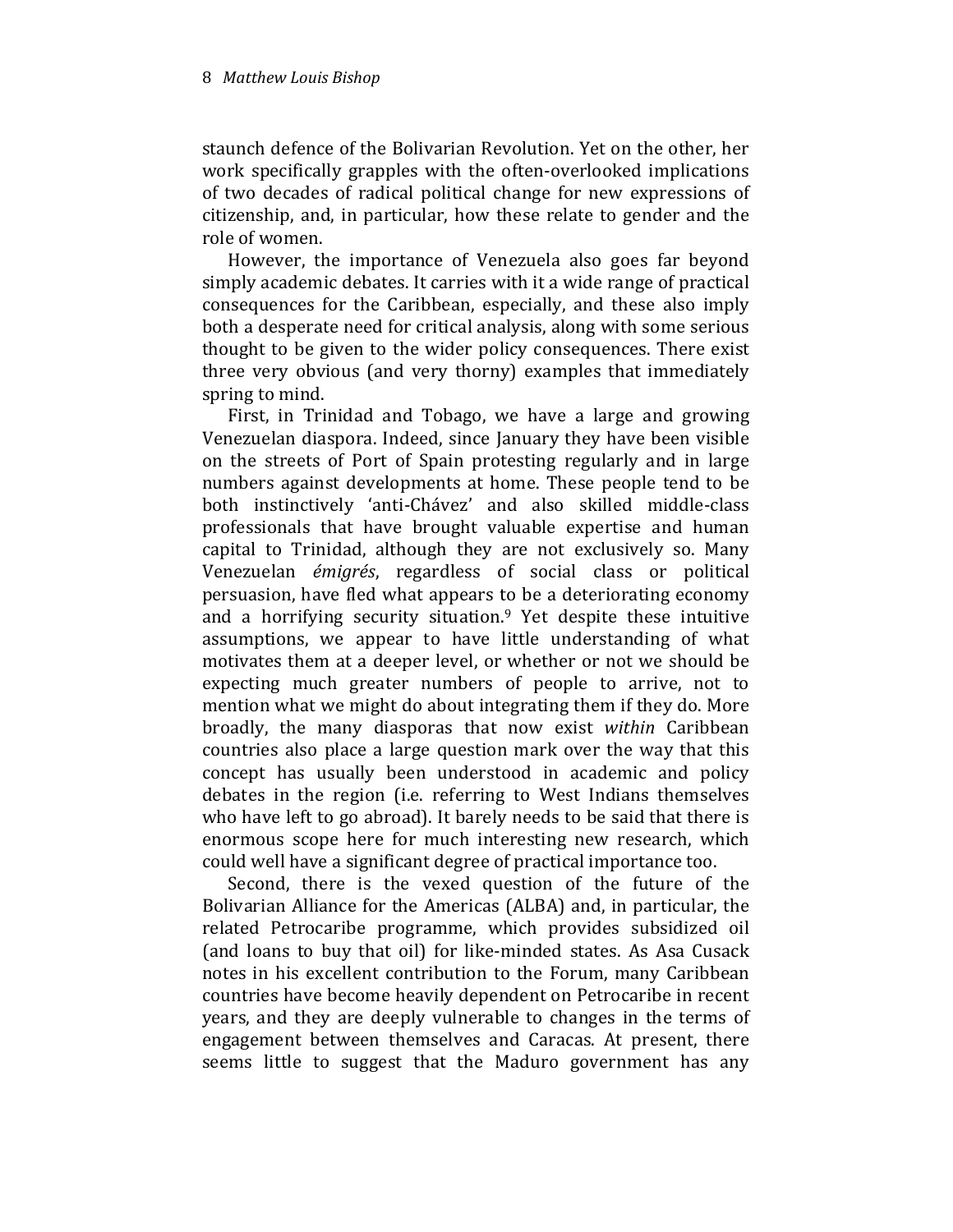staunch defence of the Bolivarian Revolution. Yet on the other, her work specifically grapples with the often-overlooked implications of two decades of radical political change for new expressions of citizenship, and, in particular, how these relate to gender and the role of women.

However, the importance of Venezuela also goes far beyond simply academic debates. It carries with it a wide range of practical consequences for the Caribbean, especially, and these also imply both a desperate need for critical analysis, along with some serious thought to be given to the wider policy consequences. There exist three very obvious (and very thorny) examples that immediately spring to mind.

First, in Trinidad and Tobago, we have a large and growing Venezuelan diaspora. Indeed, since January they have been visible on the streets of Port of Spain protesting regularly and in large numbers against developments at home. These people tend to be both instinctively 'anti-Chávez' and also skilled middle-class professionals that have brought valuable expertise and human capital to Trinidad, although they are not exclusively so. Many Venezuelan émigrés, regardless of social class or political persuasion, have fled what appears to be a deteriorating economy and a horrifying security situation.<sup>9</sup> Yet despite these intuitive assumptions, we appear to have little understanding of what motivates them at a deeper level, or whether or not we should be expecting much greater numbers of people to arrive, not to mention what we might do about integrating them if they do. More broadly, the many diasporas that now exist within Caribbean countries also place a large question mark over the way that this concept has usually been understood in academic and policy debates in the region (i.e. referring to West Indians themselves who have left to go abroad). It barely needs to be said that there is enormous scope here for much interesting new research, which could well have a significant degree of practical importance too.

Second, there is the vexed question of the future of the Bolivarian Alliance for the Americas (ALBA) and, in particular, the related Petrocaribe programme, which provides subsidized oil (and loans to buy that oil) for like-minded states. As Asa Cusack notes in his excellent contribution to the Forum, many Caribbean countries have become heavily dependent on Petrocaribe in recent years, and they are deeply vulnerable to changes in the terms of engagement between themselves and Caracas. At present, there seems little to suggest that the Maduro government has any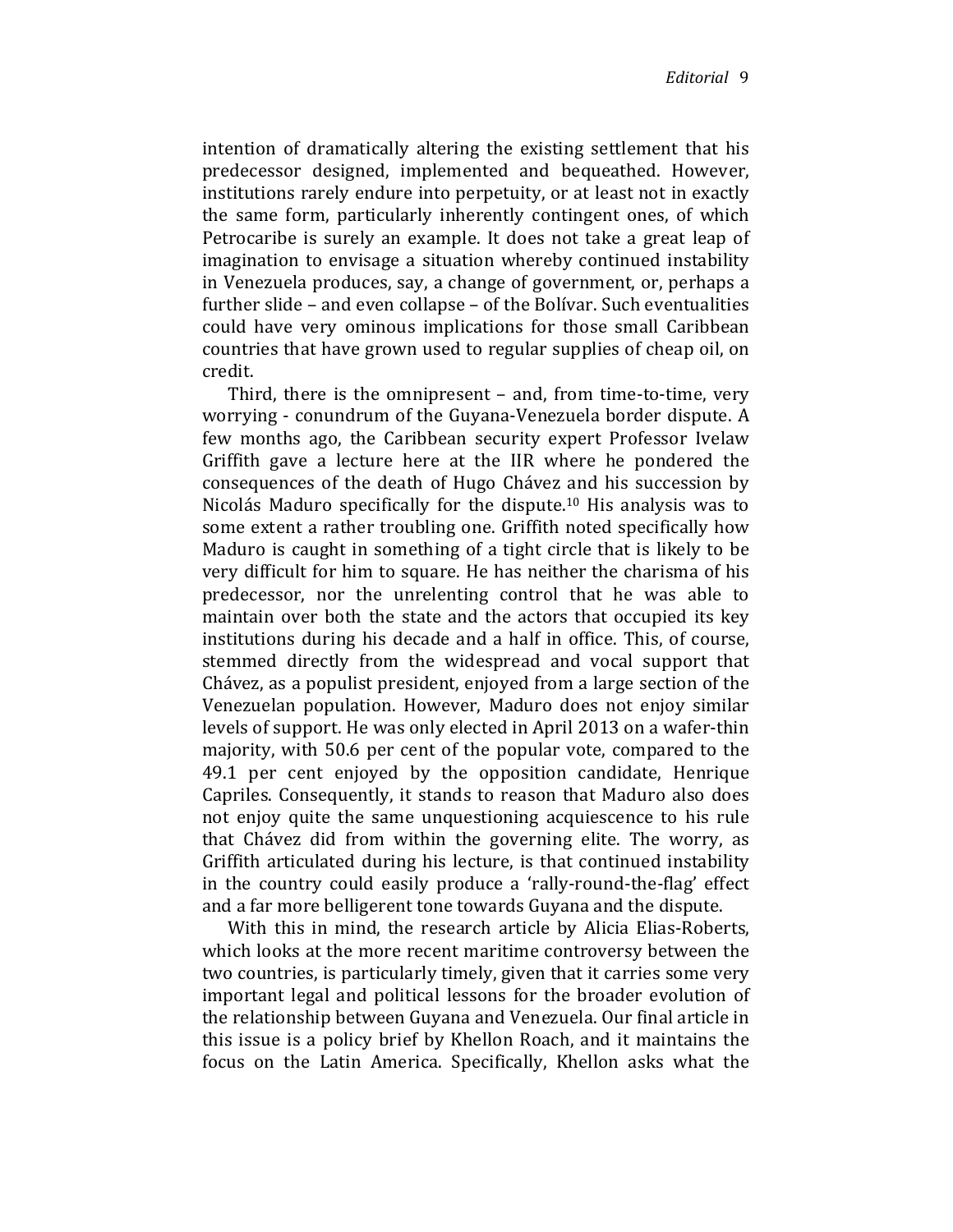intention of dramatically altering the existing settlement that his predecessor designed, implemented and bequeathed. However, institutions rarely endure into perpetuity, or at least not in exactly the same form, particularly inherently contingent ones, of which Petrocaribe is surely an example. It does not take a great leap of imagination to envisage a situation whereby continued instability in Venezuela produces, say, a change of government, or, perhaps a further slide – and even collapse – of the Bolívar. Such eventualities could have very ominous implications for those small Caribbean countries that have grown used to regular supplies of cheap oil, on credit.

Third, there is the omnipresent – and, from time-to-time, very worrying - conundrum of the Guyana-Venezuela border dispute. A few months ago, the Caribbean security expert Professor Ivelaw Griffith gave a lecture here at the IIR where he pondered the consequences of the death of Hugo Chávez and his succession by Nicolás Maduro specifically for the dispute.10 His analysis was to some extent a rather troubling one. Griffith noted specifically how Maduro is caught in something of a tight circle that is likely to be very difficult for him to square. He has neither the charisma of his predecessor, nor the unrelenting control that he was able to maintain over both the state and the actors that occupied its key institutions during his decade and a half in office. This, of course, stemmed directly from the widespread and vocal support that Chávez, as a populist president, enjoyed from a large section of the Venezuelan population. However, Maduro does not enjoy similar levels of support. He was only elected in April 2013 on a wafer-thin majority, with 50.6 per cent of the popular vote, compared to the 49.1 per cent enjoyed by the opposition candidate, Henrique Capriles. Consequently, it stands to reason that Maduro also does not enjoy quite the same unquestioning acquiescence to his rule that Chávez did from within the governing elite. The worry, as Griffith articulated during his lecture, is that continued instability in the country could easily produce a 'rally-round-the-flag' effect and a far more belligerent tone towards Guyana and the dispute.

With this in mind, the research article by Alicia Elias-Roberts, which looks at the more recent maritime controversy between the two countries, is particularly timely, given that it carries some very important legal and political lessons for the broader evolution of the relationship between Guyana and Venezuela. Our final article in this issue is a policy brief by Khellon Roach, and it maintains the focus on the Latin America. Specifically, Khellon asks what the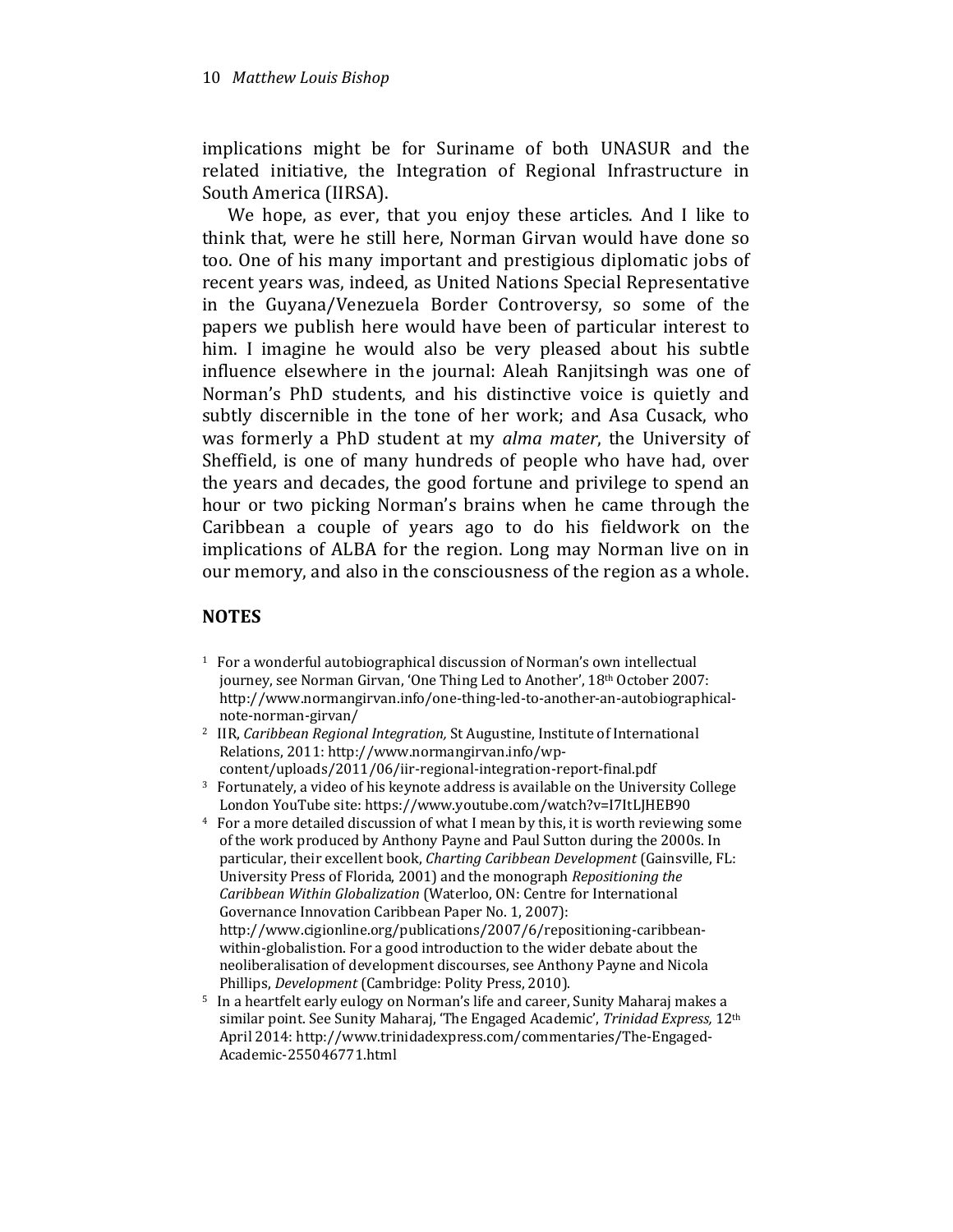implications might be for Suriname of both UNASUR and the related initiative, the Integration of Regional Infrastructure in South America (IIRSA).

We hope, as ever, that you enjoy these articles. And I like to think that, were he still here, Norman Girvan would have done so too. One of his many important and prestigious diplomatic jobs of recent years was, indeed, as United Nations Special Representative in the Guyana/Venezuela Border Controversy, so some of the papers we publish here would have been of particular interest to him. I imagine he would also be very pleased about his subtle influence elsewhere in the journal: Aleah Ranjitsingh was one of Norman's PhD students, and his distinctive voice is quietly and subtly discernible in the tone of her work; and Asa Cusack, who was formerly a PhD student at my alma mater, the University of Sheffield, is one of many hundreds of people who have had, over the years and decades, the good fortune and privilege to spend an hour or two picking Norman's brains when he came through the Caribbean a couple of years ago to do his fieldwork on the implications of ALBA for the region. Long may Norman live on in our memory, and also in the consciousness of the region as a whole.

### **NOTES**

- <sup>1</sup> For a wonderful autobiographical discussion of Norman's own intellectual journey, see Norman Girvan, 'One Thing Led to Another', 18<sup>th</sup> October 2007: http://www.normangirvan.info/one-thing-led-to-another-an-autobiographicalnote-norman-girvan/
- <sup>2</sup> IIR, Caribbean Regional Integration, St Augustine, Institute of International Relations, 2011: http://www.normangirvan.info/wpcontent/uploads/2011/06/iir-regional-integration-report-final.pdf
- <sup>3</sup> Fortunately, a video of his keynote address is available on the University College London YouTube site: https://www.youtube.com/watch?v=I7ItLJHEB90
- <sup>4</sup> For a more detailed discussion of what I mean by this, it is worth reviewing some of the work produced by Anthony Payne and Paul Sutton during the 2000s. In particular, their excellent book, Charting Caribbean Development (Gainsville, FL: University Press of Florida, 2001) and the monograph Repositioning the Caribbean Within Globalization (Waterloo, ON: Centre for International Governance Innovation Caribbean Paper No. 1, 2007): http://www.cigionline.org/publications/2007/6/repositioning-caribbeanwithin-globalistion. For a good introduction to the wider debate about the neoliberalisation of development discourses, see Anthony Payne and Nicola Phillips, Development (Cambridge: Polity Press, 2010).
- <sup>5</sup> In a heartfelt early eulogy on Norman's life and career, Sunity Maharaj makes a similar point. See Sunity Maharaj, 'The Engaged Academic', Trinidad Express, 12<sup>th</sup> April 2014: http://www.trinidadexpress.com/commentaries/The-Engaged-Academic-255046771.html